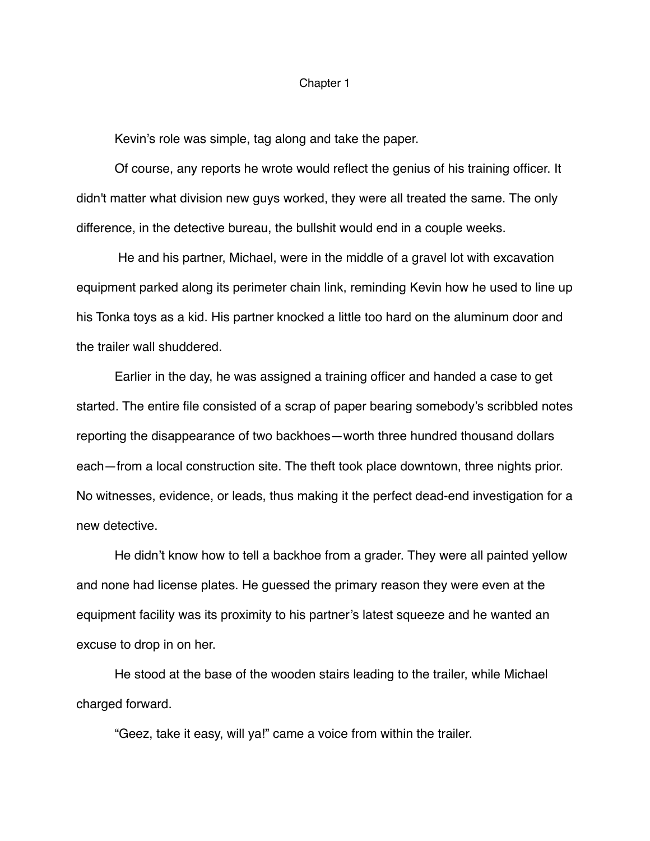## Chapter 1

Kevin's role was simple, tag along and take the paper.

Of course, any reports he wrote would reflect the genius of his training officer. It didn't matter what division new guys worked, they were all treated the same. The only difference, in the detective bureau, the bullshit would end in a couple weeks.

 He and his partner, Michael, were in the middle of a gravel lot with excavation equipment parked along its perimeter chain link, reminding Kevin how he used to line up his Tonka toys as a kid. His partner knocked a little too hard on the aluminum door and the trailer wall shuddered.

Earlier in the day, he was assigned a training officer and handed a case to get started. The entire file consisted of a scrap of paper bearing somebody's scribbled notes reporting the disappearance of two backhoes—worth three hundred thousand dollars each—from a local construction site. The theft took place downtown, three nights prior. No witnesses, evidence, or leads, thus making it the perfect dead-end investigation for a new detective.

 He didn't know how to tell a backhoe from a grader. They were all painted yellow and none had license plates. He guessed the primary reason they were even at the equipment facility was its proximity to his partner's latest squeeze and he wanted an excuse to drop in on her.

He stood at the base of the wooden stairs leading to the trailer, while Michael charged forward.

"Geez, take it easy, will ya!" came a voice from within the trailer.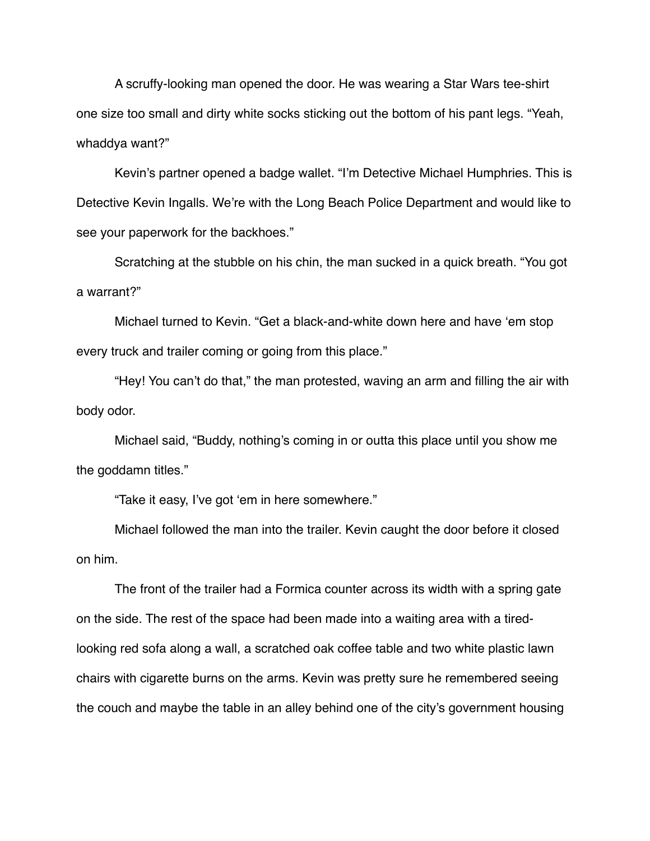A scruffy-looking man opened the door. He was wearing a Star Wars tee-shirt one size too small and dirty white socks sticking out the bottom of his pant legs. "Yeah, whaddya want?"

Kevin's partner opened a badge wallet. "I'm Detective Michael Humphries. This is Detective Kevin Ingalls. We're with the Long Beach Police Department and would like to see your paperwork for the backhoes."

Scratching at the stubble on his chin, the man sucked in a quick breath. "You got a warrant?"

Michael turned to Kevin. "Get a black-and-white down here and have 'em stop every truck and trailer coming or going from this place."

"Hey! You can't do that," the man protested, waving an arm and filling the air with body odor.

Michael said, "Buddy, nothing's coming in or outta this place until you show me the goddamn titles."

"Take it easy, I've got 'em in here somewhere."

Michael followed the man into the trailer. Kevin caught the door before it closed on him.

The front of the trailer had a Formica counter across its width with a spring gate on the side. The rest of the space had been made into a waiting area with a tiredlooking red sofa along a wall, a scratched oak coffee table and two white plastic lawn chairs with cigarette burns on the arms. Kevin was pretty sure he remembered seeing the couch and maybe the table in an alley behind one of the city's government housing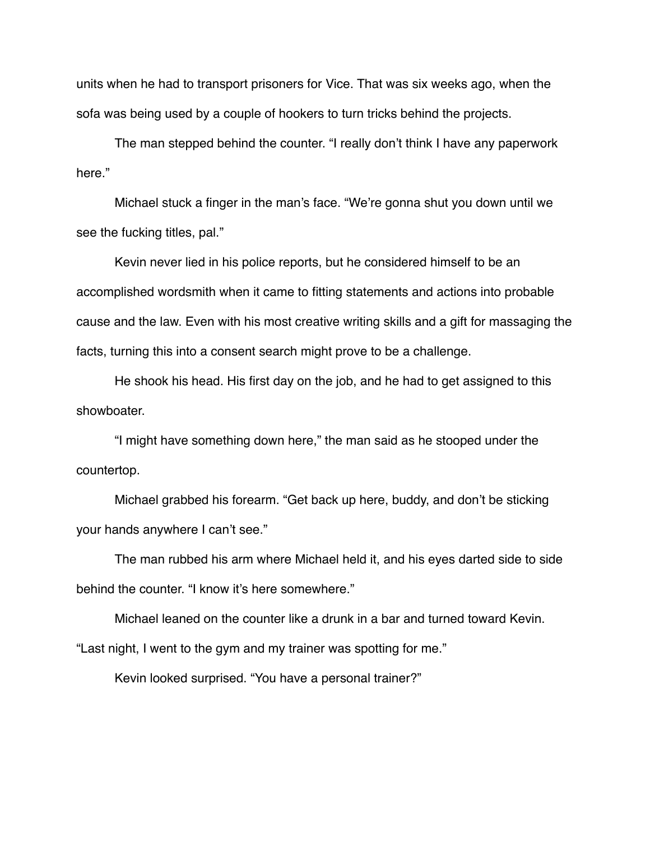units when he had to transport prisoners for Vice. That was six weeks ago, when the sofa was being used by a couple of hookers to turn tricks behind the projects.

The man stepped behind the counter. "I really don't think I have any paperwork here."

Michael stuck a finger in the man's face. "We're gonna shut you down until we see the fucking titles, pal."

Kevin never lied in his police reports, but he considered himself to be an accomplished wordsmith when it came to fitting statements and actions into probable cause and the law. Even with his most creative writing skills and a gift for massaging the facts, turning this into a consent search might prove to be a challenge.

He shook his head. His first day on the job, and he had to get assigned to this showboater.

"I might have something down here," the man said as he stooped under the countertop.

Michael grabbed his forearm. "Get back up here, buddy, and don't be sticking your hands anywhere I can't see."

The man rubbed his arm where Michael held it, and his eyes darted side to side behind the counter. "I know it's here somewhere."

 Michael leaned on the counter like a drunk in a bar and turned toward Kevin. "Last night, I went to the gym and my trainer was spotting for me."

Kevin looked surprised. "You have a personal trainer?"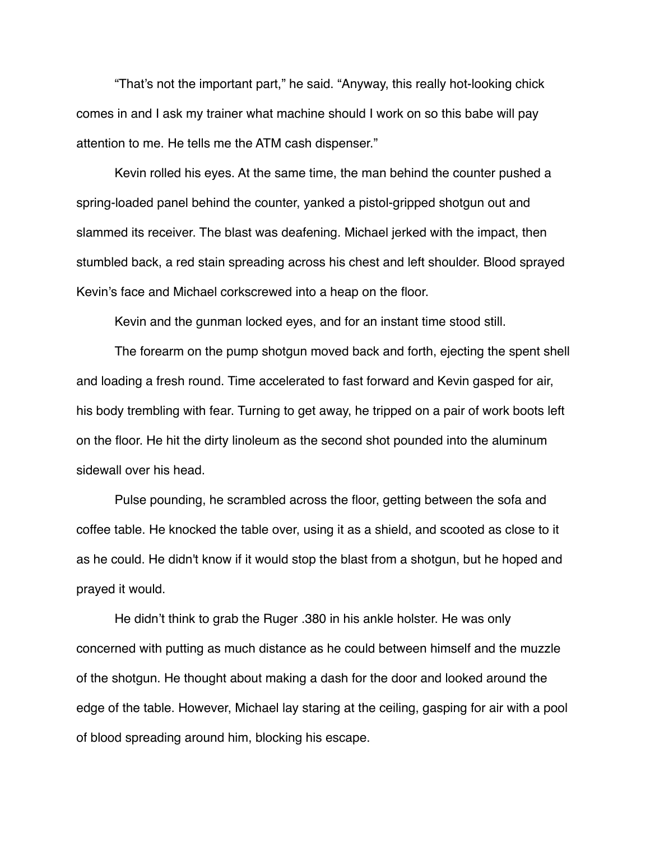"That's not the important part," he said. "Anyway, this really hot-looking chick comes in and I ask my trainer what machine should I work on so this babe will pay attention to me. He tells me the ATM cash dispenser."

Kevin rolled his eyes. At the same time, the man behind the counter pushed a spring-loaded panel behind the counter, yanked a pistol-gripped shotgun out and slammed its receiver. The blast was deafening. Michael jerked with the impact, then stumbled back, a red stain spreading across his chest and left shoulder. Blood sprayed Kevin's face and Michael corkscrewed into a heap on the floor.

Kevin and the gunman locked eyes, and for an instant time stood still.

The forearm on the pump shotgun moved back and forth, ejecting the spent shell and loading a fresh round. Time accelerated to fast forward and Kevin gasped for air, his body trembling with fear. Turning to get away, he tripped on a pair of work boots left on the floor. He hit the dirty linoleum as the second shot pounded into the aluminum sidewall over his head.

Pulse pounding, he scrambled across the floor, getting between the sofa and coffee table. He knocked the table over, using it as a shield, and scooted as close to it as he could. He didn't know if it would stop the blast from a shotgun, but he hoped and prayed it would.

He didn't think to grab the Ruger .380 in his ankle holster. He was only concerned with putting as much distance as he could between himself and the muzzle of the shotgun. He thought about making a dash for the door and looked around the edge of the table. However, Michael lay staring at the ceiling, gasping for air with a pool of blood spreading around him, blocking his escape.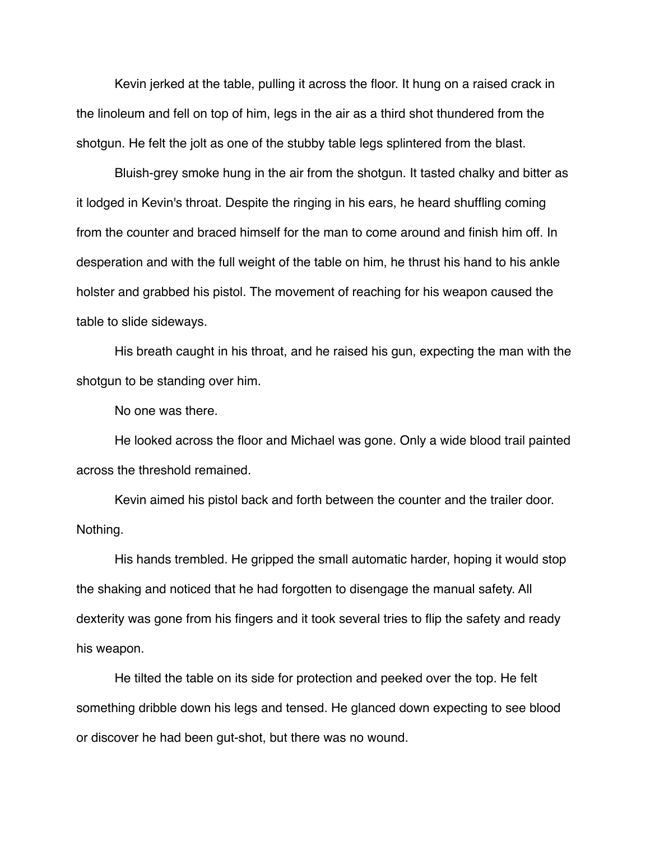Kevin jerked at the table, pulling it across the floor. It hung on a raised crack in the linoleum and fell on top of him, legs in the air as a third shot thundered from the shotgun. He felt the jolt as one of the stubby table legs splintered from the blast.

Bluish-grey smoke hung in the air from the shotgun. It tasted chalky and bitter as it lodged in Kevin's throat. Despite the ringing in his ears, he heard shuffling coming from the counter and braced himself for the man to come around and finish him off. In desperation and with the full weight of the table on him, he thrust his hand to his ankle holster and grabbed his pistol. The movement of reaching for his weapon caused the table to slide sideways.

His breath caught in his throat, and he raised his gun, expecting the man with the shotgun to be standing over him.

No one was there.

He looked across the floor and Michael was gone. Only a wide blood trail painted across the threshold remained.

Kevin aimed his pistol back and forth between the counter and the trailer door. Nothing.

His hands trembled. He gripped the small automatic harder, hoping it would stop the shaking and noticed that he had forgotten to disengage the manual safety. All dexterity was gone from his fingers and it took several tries to flip the safety and ready his weapon.

He tilted the table on its side for protection and peeked over the top. He felt something dribble down his legs and tensed. He glanced down expecting to see blood or discover he had been gut-shot, but there was no wound.